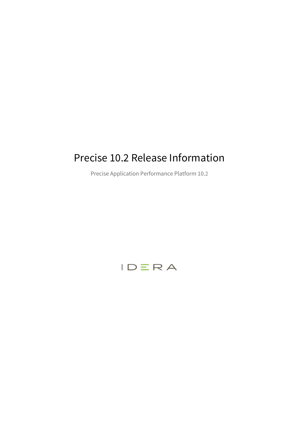# Precise 10.2 Release Information

Precise Application Performance Platform 10.2

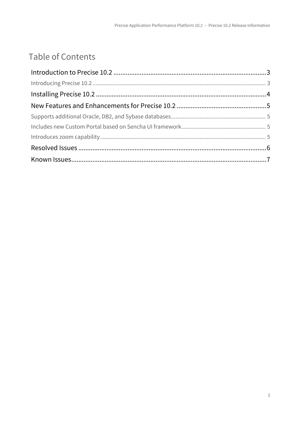# Table of Contents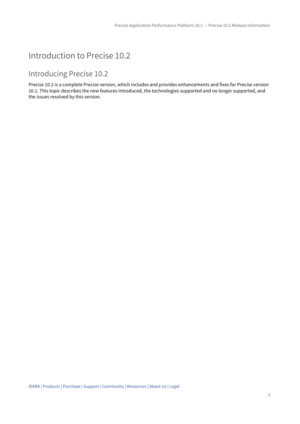## <span id="page-2-0"></span>Introduction to Precise 10.2

### <span id="page-2-1"></span>Introducing Precise 10.2

Precise 10.2 is a complete Precise version, which includes and provides enhancements and fixes for Precise version 10.1. This topic describes the new features introduced, the technologies supported and no longer supported, and the issues resolved by this version.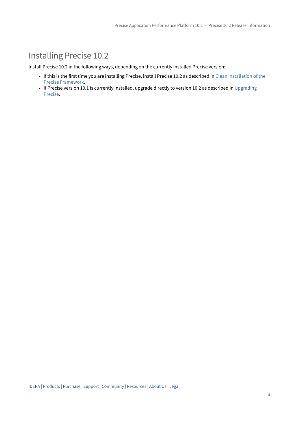## <span id="page-3-0"></span>Installing Precise 10.2

Install Precise 10.2 in the following ways, depending on the currently installed Precise version:

- If this is the first time you are installing Precise, install Precise 10.2 as described in [Clean installation of the](http://wiki.idera.com/display/Precise/Clean+installation+of+the+Precise+Framework)  [Precise Framework.](http://wiki.idera.com/display/Precise/Clean+installation+of+the+Precise+Framework)
- If Precise version 10.1 is currently installed, upgrade directly to version 10.2 as described in [Upgrading](http://wiki.idera.com/display/Precise/Upgrading+Precise)  [Precise.](http://wiki.idera.com/display/Precise/Upgrading+Precise)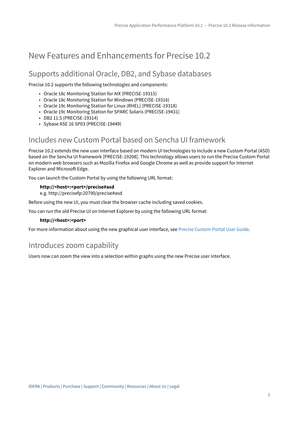### <span id="page-4-0"></span>New Features and Enhancements for Precise 10.2

#### <span id="page-4-1"></span>Supports additional Oracle, DB2, and Sybase databases

Precise 10.2 supports the following technologies and components:

- Oracle 18c Monitoring Station for AIX (PRECISE-19315)
- Oracle 18c Monitoring Station for Windows (PRECISE-19316)
- Oracle 19c Monitoring Station for Linux (RHEL) (PRECISE-19318)
- Oracle 19c Monitoring Station for SPARC Solaris (PRECISE-19431)
- DB2 11.5 (PRECISE-19314)
- Sybase ASE 16 SP03 (PRECISE-19449)

#### <span id="page-4-2"></span>Includes new Custom Portal based on Sencha UI framework

Precise 10.2 extends the new user interface based on modern UI technologies to include a new Custom Portal (ASD) based on the Sencha UI framework [PRECISE-19208]. This technology allows users to run the Precise Custom Portal on modern web browsers such as Mozilla Firefox and Google Chrome as well as provide support for Internet Explorer and Microsoft Edge.

You can launch the Custom Portal by using the following URL format:

#### **http://<host>:<port>/precise#asd**

e.g. http://precisefp:20790/precise#asd

Before using the new UI, you must clear the browser cache including saved cookies.

You can run the old Precise UI on Internet Explorer by using the following URL format:

#### **http://<host>:<port>**

For more information about using the new graphical user interface, see [Precise Custom Portal User Guide](http://wiki.idera.com/display/Precise/Precise+Custom+Portal+User+Guide).

#### <span id="page-4-3"></span>Introduces zoom capability

Users now can zoom the view into a selection within graphs using the new Precise user interface.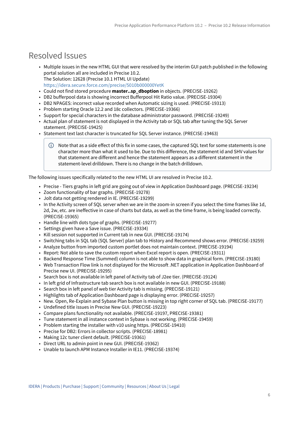### <span id="page-5-0"></span>Resolved Issues

- Multiple issues in the new HTML GUI that were resolved by the interim GUI patch published in the following portal solution all are included in Precise 10.2. The Solution: 12628 (Precise 10.1 HTML UI Update) <https://idera.secure.force.com/precise/5010b000000YetK>
- Could not find stored procedure **master..sp\_dboption** in objects. (PRECISE-19262)
- DB2 bufferpool data is showing incorrect Bufferpool Hit Ratio value. (PRECISE-19304)
- DB2 NPAGES: incorrect value recorded when Automatic sizing is used. (PRECISE-19313)
- Problem starting Oracle 12.2 and 18c collectors. (PRECISE-19366)
- Support for special characters in the database administrator password. (PRECISE-19249)
- Actual plan of statement is not displayed in the Activity tab or SQL tab after tuning the SQL Server statement. (PRECISE-19425)
- Statement text last character is truncated for SQL Server instance. (PRECISE-19463)
	- Note that as a side effect of this fix in some cases, the captured SQL text for some statements is one character more than what it used to be. Due to this difference, the statement id and SHV values for that statement are different and hence the statement appears as a different statement in the statement-level drilldown. There is no change in the batch drilldown.

The following issues specifically related to the new HTML UI are resolved in Precise 10.2.

- Precise Tiers graphs in left grid are going out of view in Application Dashboard page. (PRECISE-19234)
- Zoom functionality of bar graphs. (PRECISE-19278)
- Jolt data not getting rendered in IE. (PRECISE-19299)
- In the Activity screen of SQL server when we are in the zoom-in screen if you select the time frames like 1d, 2d, 2w, etc. are ineffective in case of charts but data, as well as the time frame, is being loaded correctly. (PRECISE-19365)
- Handle line with dots type of graphs. (PRECISE-19277)
- Settings given have a Save issue. (PRECISE-19334)
- Kill session not supported in Current tab in new GUI. (PRECISE-19174)
- Switching tabs in SQL tab (SQL Server) plan tab to History and Recommend shows error. (PRECISE-19259)
- Analyze button from imported custom portlet does not maintain context. (PRECISE-19194)
- Report: Not able to save the custom report when Excel report is open. (PRECISE-19311)
- Backend Response Time (Summed) column is not able to show data in graphical form. (PRECISE-19180)
- Web Transaction Flow link is not displayed for the Microsoft .NET application in Application Dashboard of Precise new UI. (PRECISE-19295)
- Search box is not available in left panel of Activity tab of J2ee tier. (PRECISE-19124)
- In left grid of Infrastructure tab search box is not available in new GUI. (PRECISE-19188)
- Search box in left panel of web tier Activity tab is missing. (PRECISE-19121)
- Highlights tab of Application Dashboard page is displaying error. (PRECISE-19257)
- New. Open, Re-Explain and Sybase Plan button is missing in top right corner of SQL tab. (PRECISE-19177)
- Undefined title issues in Precise New GUI. (PRECISE-19223)
- Compare plans functionality not available. (PRECISE-19197, PRECISE-19381)
- Tune statement in all instance context in Sybase is not working. (PRECISE-19459)
- Problem starting the installer with v10 using https. (PRECISE-19410)
- Precise for DB2: Errors in collector scripts. (PRECISE-18981)
- Making 12c tuner client default. (PRECISE-19361)
- Direct URL to admin point in new GUI. (PRECISE-19362)
- Unable to launch APM Instance Installer in IE11. (PRECISE-19374)